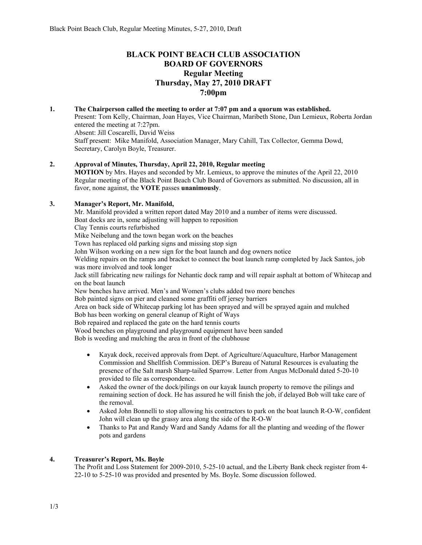# **BLACK POINT BEACH CLUB ASSOCIATION BOARD OF GOVERNORS Regular Meeting Thursday, May 27, 2010 DRAFT 7:00pm**

#### **1. The Chairperson called the meeting to order at 7:07 pm and a quorum was established.**  Present: Tom Kelly, Chairman, Joan Hayes, Vice Chairman, Maribeth Stone, Dan Lemieux, Roberta Jordan entered the meeting at 7:27pm. Absent: Jill Coscarelli, David Weiss Staff present: Mike Manifold, Association Manager, Mary Cahill, Tax Collector, Gemma Dowd, Secretary, Carolyn Boyle, Treasurer.

## **2. Approval of Minutes, Thursday, April 22, 2010, Regular meeting**

**MOTION** by Mrs. Hayes and seconded by Mr. Lemieux, to approve the minutes of the April 22, 2010 Regular meeting of the Black Point Beach Club Board of Governors as submitted. No discussion, all in favor, none against, the **VOTE** passes **unanimously**.

### **3. Manager's Report, Mr. Manifold,**

Mr. Manifold provided a written report dated May 2010 and a number of items were discussed. Boat docks are in, some adjusting will happen to reposition Clay Tennis courts refurbished Mike Neibelung and the town began work on the beaches Town has replaced old parking signs and missing stop sign John Wilson working on a new sign for the boat launch and dog owners notice Welding repairs on the ramps and bracket to connect the boat launch ramp completed by Jack Santos, job was more involved and took longer Jack still fabricating new railings for Nehantic dock ramp and will repair asphalt at bottom of Whitecap and on the boat launch New benches have arrived. Men's and Women's clubs added two more benches Bob painted signs on pier and cleaned some graffiti off jersey barriers Area on back side of Whitecap parking lot has been sprayed and will be sprayed again and mulched Bob has been working on general cleanup of Right of Ways Bob repaired and replaced the gate on the hard tennis courts Wood benches on playground and playground equipment have been sanded Bob is weeding and mulching the area in front of the clubhouse

- Kayak dock, received approvals from Dept. of Agriculture/Aquaculture, Harbor Management Commission and Shellfish Commission. DEP's Bureau of Natural Resources is evaluating the presence of the Salt marsh Sharp-tailed Sparrow. Letter from Angus McDonald dated 5-20-10 provided to file as correspondence.
- Asked the owner of the dock/pilings on our kayak launch property to remove the pilings and remaining section of dock. He has assured he will finish the job, if delayed Bob will take care of the removal.
- Asked John Bonnelli to stop allowing his contractors to park on the boat launch R-O-W, confident John will clean up the grassy area along the side of the R-O-W
- Thanks to Pat and Randy Ward and Sandy Adams for all the planting and weeding of the flower pots and gardens

### **4. Treasurer's Report, Ms. Boyle**

The Profit and Loss Statement for 2009-2010, 5-25-10 actual, and the Liberty Bank check register from 4- 22-10 to 5-25-10 was provided and presented by Ms. Boyle. Some discussion followed.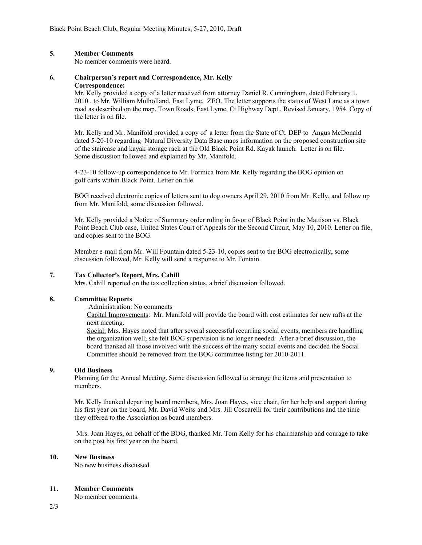### **5. Member Comments**

No member comments were heard.

### **6. Chairperson's report and Correspondence, Mr. Kelly Correspondence:**

Mr. Kelly provided a copy of a letter received from attorney Daniel R. Cunningham, dated February 1, 2010 , to Mr. William Mulholland, East Lyme, ZEO. The letter supports the status of West Lane as a town road as described on the map, Town Roads, East Lyme, Ct Highway Dept., Revised January, 1954. Copy of the letter is on file.

Mr. Kelly and Mr. Manifold provided a copy of a letter from the State of Ct. DEP to Angus McDonald dated 5-20-10 regarding Natural Diversity Data Base maps information on the proposed construction site of the staircase and kayak storage rack at the Old Black Point Rd. Kayak launch. Letter is on file. Some discussion followed and explained by Mr. Manifold.

4-23-10 follow-up correspondence to Mr. Formica from Mr. Kelly regarding the BOG opinion on golf carts within Black Point. Letter on file.

BOG received electronic copies of letters sent to dog owners April 29, 2010 from Mr. Kelly, and follow up from Mr. Manifold, some discussion followed.

Mr. Kelly provided a Notice of Summary order ruling in favor of Black Point in the Mattison vs. Black Point Beach Club case, United States Court of Appeals for the Second Circuit, May 10, 2010. Letter on file, and copies sent to the BOG.

Member e-mail from Mr. Will Fountain dated 5-23-10, copies sent to the BOG electronically, some discussion followed, Mr. Kelly will send a response to Mr. Fontain.

### **7. Tax Collector's Report, Mrs. Cahill**

Mrs. Cahill reported on the tax collection status, a brief discussion followed.

#### **8. Committee Reports**

Administration: No comments

Capital Improvements: Mr. Manifold will provide the board with cost estimates for new rafts at the next meeting.

Social: Mrs. Hayes noted that after several successful recurring social events, members are handling the organization well; she felt BOG supervision is no longer needed. After a brief discussion, the board thanked all those involved with the success of the many social events and decided the Social Committee should be removed from the BOG committee listing for 2010-2011.

### **9. Old Business**

Planning for the Annual Meeting. Some discussion followed to arrange the items and presentation to members.

Mr. Kelly thanked departing board members, Mrs. Joan Hayes, vice chair, for her help and support during his first year on the board, Mr. David Weiss and Mrs. Jill Coscarelli for their contributions and the time they offered to the Association as board members.

 Mrs. Joan Hayes, on behalf of the BOG, thanked Mr. Tom Kelly for his chairmanship and courage to take on the post his first year on the board.

#### **10. New Business**

No new business discussed

### **11. Member Comments**

No member comments.